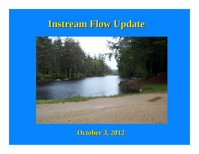# **Instream Flow Update Instream Flow Update**



**October 3, 2012 October 3, 2012**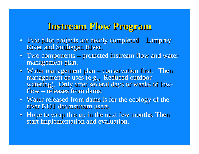## **Instream Flow Program Instream Flow Program**

- Two pilot projects are nearly completed – Lamprey River and Souhegan River.
- $\bullet$  Two components protected instream flow and water management plan.
- Water management plan – conservation first. Then management of uses (e.g., Reduced outdoor watering). Only after several days or weeks of low- flow – releases from dams.
- Water released from dams is for the ecology of the river NOT downstream users.
- Hope to wrap this up in the next few months. Then start implementation and evaluation.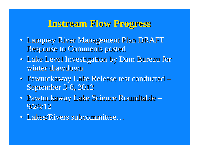### **Instream Flow Progress Instream Flow Progress**

- Lamprey River Management Plan DRAFT Response to Comments posted
- $\bullet$  . **• Lake Level Investigation by Dam Bureau for** winter drawdown
- Pawtuckaway Lake Release test conducted September 3-8, 2012
- Pawtuckaway Lake Science Roundtable  $9/28/12$
- Lakes/Rivers subcommittee...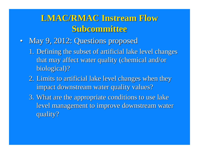#### LMAC/RMAC Instream Flow **Subcommittee Subcommittee**

- May 9, 2012: Questions proposed
	- 1. Defining the subset of artificial lake level changes that may affect water quality (chemical and/or biological)?
	- 2. Limits to artificial lake level changes when they impact downstream water quality values?
	- 3. What are the appropriate conditions to use lake level management to improve downstream water quality? quality?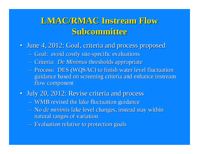#### LMAC/RMAC Instream Flow **Subcommittee Subcommittee**

- June 4, 2012: Goal, criteria and process proposed
	- Goal: avoid costly site-specific evaluations
	- –- Criteria: *De Minimus* thresholds appropriate
	- –- Process: DES (WQSAC) to finish water level fluctuation guidance based on screening criteria and enhance instream flow component
- July 20, 2012: Revise criteria and process July 20, 2012: Revise criteria and process
	- WMB revised the lake fluctuation guidance
	- $-$  No *de minimis* lake level changes, instead stay within natural ranges of variation
	- –– Evaluation relative to protection goals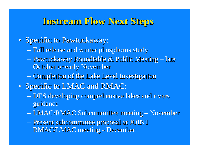#### **Instream Flow Next Steps Instream Flow Next Steps**

- Specific to Pawtuckaway:
	- Fall release and winter phosphorus study
	- Pawtuckaway Roundtable & Public Meeting – late October or early November
	- Completion of the Lake Level Investigation
- Specific to LMAC and RMAC:
	- –– DES developing comprehensive lakes and rivers guidance
	- –- LMAC/RMAC Subcommittee meeting -– November
	- –Present subcommittee proposal at JOINT Present subcommittee proposal at JOINT RMAC/LMAC meeting - December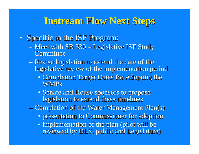#### **Instream Flow Next Steps Instream Flow Next Steps**

- Specific to the ISF Program:
	- $-$  Meet with SB 330 Legislative ISF Study **Committee**
	- –– Revise legislation to extend the date of the legislative review of the implementation period
		- Completion Target Dates for Adopting the **WMPs**
		- Senate and House sponsors to propose legislation to extend these timelines
	- –– Completion of the Water Management Plan(s)
		- presentation to Commissioner for adoption
		- implementation of the plan (pilot will be reviewed by DES, public and Legislature)